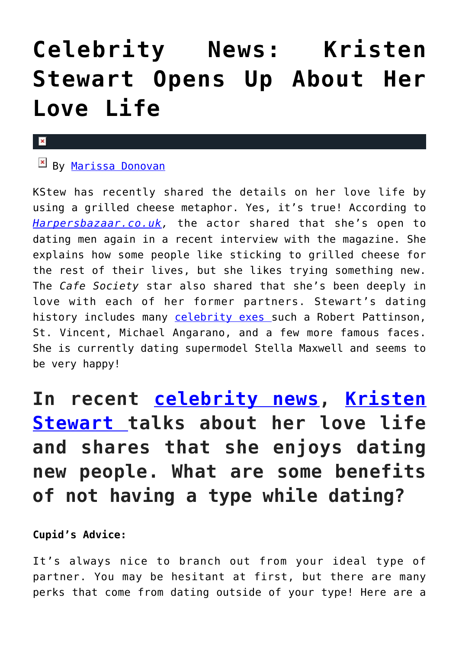# **[Celebrity News: Kristen](https://cupidspulse.com/120087/celebrity-news-kristen-stewart-love-life/) [Stewart Opens Up About Her](https://cupidspulse.com/120087/celebrity-news-kristen-stewart-love-life/) [Love Life](https://cupidspulse.com/120087/celebrity-news-kristen-stewart-love-life/)**

#### $\pmb{\times}$

## **E** By [Marissa Donovan](http://cupidspulse.com/118743/marissa-donovan/)

KStew has recently shared the details on her love life by using a grilled cheese metaphor. Yes, it's true! According to *[Harpersbazaar.co.uk](http://www.harpersbazaar.co.uk/fashion/fashion-news/longform/a43015/kristen-stewart-september-issue-cover/),* the actor shared that she's open to dating men again in a recent interview with the magazine. She explains how some people like sticking to grilled cheese for the rest of their lives, but she likes trying something new. The *Cafe Society* star also shared that she's been deeply in love with each of her former partners. Stewart's dating history includes many [celebrity exes](http://cupidspulse.com/celebrity-news/celebrity-break-ups/) such a Robert Pattinson, St. Vincent, Michael Angarano, and a few more famous faces. She is currently dating supermodel Stella Maxwell and seems to be very happy!

# **In recent [celebrity news,](http://cupidspulse.com/celebrity-news/celebrity-interviews/) [Kristen](http://cupidspulse.com/110467/kristen-stewart/) [Stewart t](http://cupidspulse.com/110467/kristen-stewart/)alks about her love life and shares that she enjoys dating new people. What are some benefits of not having a type while dating?**

### **Cupid's Advice:**

It's always nice to branch out from your ideal type of partner. You may be hesitant at first, but there are many perks that come from dating outside of your type! Here are a